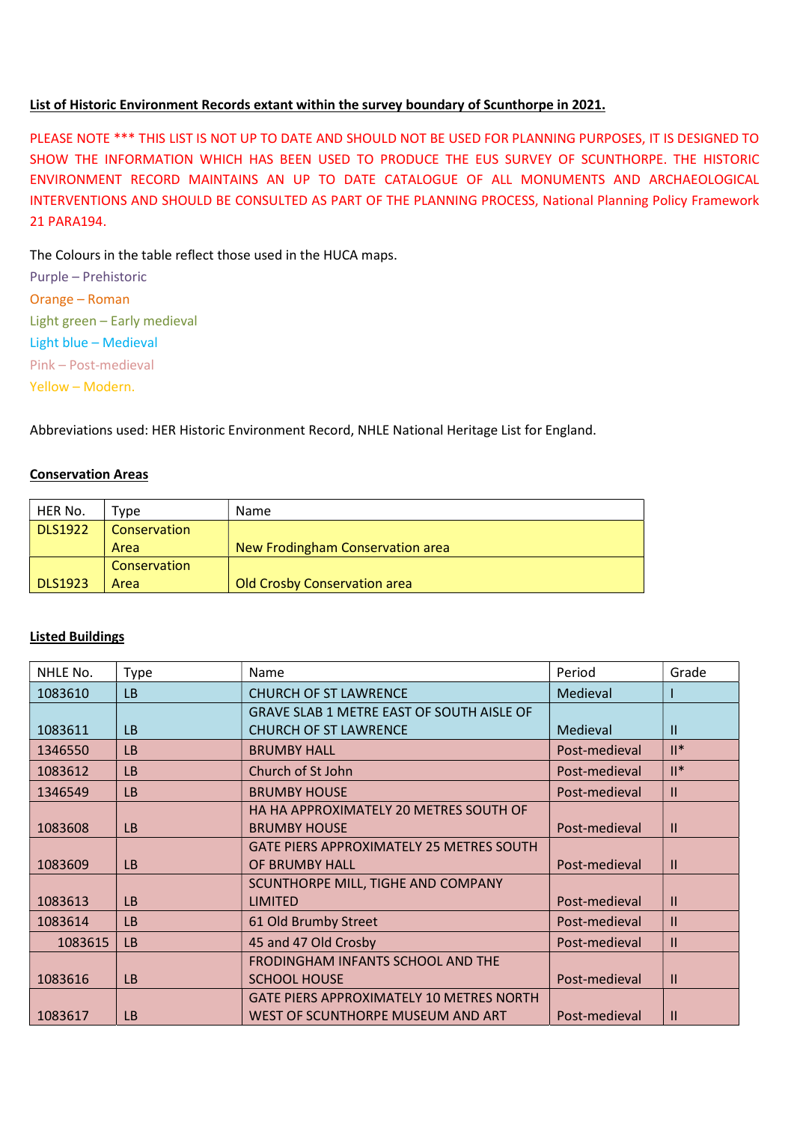## List of Historic Environment Records extant within the survey boundary of Scunthorpe in 2021.

PLEASE NOTE \*\*\* THIS LIST IS NOT UP TO DATE AND SHOULD NOT BE USED FOR PLANNING PURPOSES, IT IS DESIGNED TO SHOW THE INFORMATION WHICH HAS BEEN USED TO PRODUCE THE EUS SURVEY OF SCUNTHORPE. THE HISTORIC ENVIRONMENT RECORD MAINTAINS AN UP TO DATE CATALOGUE OF ALL MONUMENTS AND ARCHAEOLOGICAL INTERVENTIONS AND SHOULD BE CONSULTED AS PART OF THE PLANNING PROCESS, National Planning Policy Framework 21 PARA194.

The Colours in the table reflect those used in the HUCA maps.

Purple – Prehistoric Orange – Roman Light green – Early medieval Light blue – Medieval Pink – Post-medieval Yellow – Modern.

Abbreviations used: HER Historic Environment Record, NHLE National Heritage List for England.

## Conservation Areas

| HER No.        | ™vpe         | <b>Name</b>                         |
|----------------|--------------|-------------------------------------|
| <b>DLS1922</b> | Conservation |                                     |
|                | Area         | New Frodingham Conservation area    |
|                | Conservation |                                     |
| <b>DLS1923</b> | Area         | <b>Old Crosby Conservation area</b> |

## Listed Buildings

| NHLE No. | <b>Type</b> | Name                                             | Period        | Grade          |
|----------|-------------|--------------------------------------------------|---------------|----------------|
| 1083610  | <b>LB</b>   | <b>CHURCH OF ST LAWRENCE</b>                     | Medieval      |                |
|          |             | <b>GRAVE SLAB 1 METRE EAST OF SOUTH AISLE OF</b> |               |                |
| 1083611  | <b>LB</b>   | <b>CHURCH OF ST LAWRENCE</b>                     | Medieval      | $\mathbf{H}$   |
| 1346550  | <b>LB</b>   | <b>BRUMBY HALL</b>                               | Post-medieval | $\mathbb{I}^*$ |
| 1083612  | <b>LB</b>   | Church of St John                                | Post-medieval | $  ^*$         |
| 1346549  | <b>LB</b>   | <b>BRUMBY HOUSE</b>                              | Post-medieval | $\mathbf{H}$   |
|          |             | HA HA APPROXIMATELY 20 METRES SOUTH OF           |               |                |
| 1083608  | <b>LB</b>   | <b>BRUMBY HOUSE</b>                              | Post-medieval | $\mathbf{I}$   |
|          |             | <b>GATE PIERS APPROXIMATELY 25 METRES SOUTH</b>  |               |                |
| 1083609  | LB          | OF BRUMBY HALL                                   | Post-medieval | $\mathbf{I}$   |
|          |             | SCUNTHORPE MILL, TIGHE AND COMPANY               |               |                |
| 1083613  | <b>LB</b>   | <b>LIMITED</b>                                   | Post-medieval | $\mathbf{II}$  |
| 1083614  | <b>LB</b>   | 61 Old Brumby Street                             | Post-medieval | $\mathbf{H}$   |
| 1083615  | <b>LB</b>   | 45 and 47 Old Crosby                             | Post-medieval | $\mathbf{II}$  |
|          |             | FRODINGHAM INFANTS SCHOOL AND THE                |               |                |
| 1083616  | LB          | <b>SCHOOL HOUSE</b>                              | Post-medieval | $\mathbf{I}$   |
|          |             | <b>GATE PIERS APPROXIMATELY 10 METRES NORTH</b>  |               |                |
| 1083617  | <b>LB</b>   | WEST OF SCUNTHORPE MUSEUM AND ART                | Post-medieval | $\mathbf{H}$   |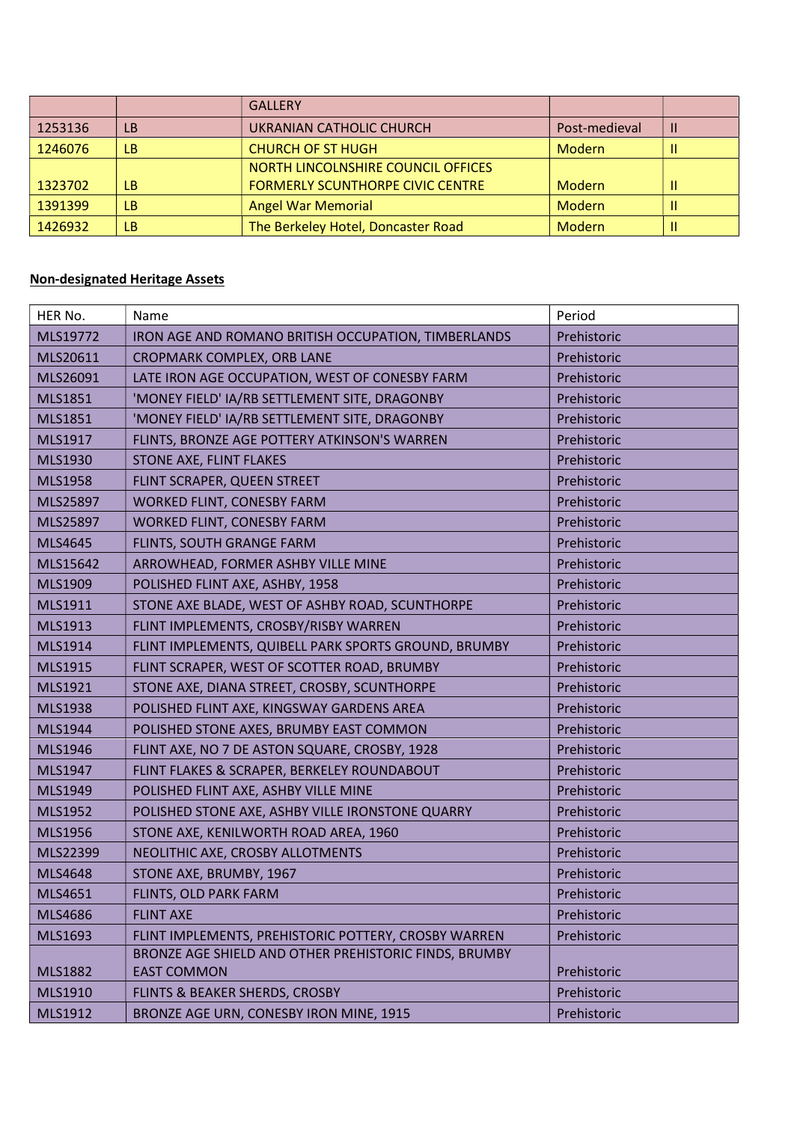|         |           | <b>GALLERY</b>                          |               |   |
|---------|-----------|-----------------------------------------|---------------|---|
| 1253136 | <b>LB</b> | UKRANIAN CATHOLIC CHURCH                | Post-medieval | Ш |
| 1246076 | LB.       | <b>CHURCH OF ST HUGH</b>                | Modern        | Ш |
|         |           | NORTH LINCOLNSHIRE COUNCIL OFFICES      |               |   |
| 1323702 | <b>LB</b> | <b>FORMERLY SCUNTHORPE CIVIC CENTRE</b> | Modern        | Ш |
| 1391399 | <b>LB</b> | <b>Angel War Memorial</b>               | Modern        | Ш |
| 1426932 | <b>LB</b> | The Berkeley Hotel, Doncaster Road      | Modern        | Ш |

## Non-designated Heritage Assets

| HER No.        | Name                                                  | Period      |
|----------------|-------------------------------------------------------|-------------|
| MLS19772       | IRON AGE AND ROMANO BRITISH OCCUPATION, TIMBERLANDS   | Prehistoric |
| MLS20611       | CROPMARK COMPLEX, ORB LANE                            | Prehistoric |
| MLS26091       | LATE IRON AGE OCCUPATION, WEST OF CONESBY FARM        | Prehistoric |
| MLS1851        | 'MONEY FIELD' IA/RB SETTLEMENT SITE, DRAGONBY         | Prehistoric |
| MLS1851        | 'MONEY FIELD' IA/RB SETTLEMENT SITE, DRAGONBY         | Prehistoric |
| MLS1917        | FLINTS, BRONZE AGE POTTERY ATKINSON'S WARREN          | Prehistoric |
| MLS1930        | <b>STONE AXE, FLINT FLAKES</b>                        | Prehistoric |
| <b>MLS1958</b> | FLINT SCRAPER, QUEEN STREET                           | Prehistoric |
| MLS25897       | WORKED FLINT, CONESBY FARM                            | Prehistoric |
| MLS25897       | WORKED FLINT, CONESBY FARM                            | Prehistoric |
| MLS4645        | FLINTS, SOUTH GRANGE FARM                             | Prehistoric |
| MLS15642       | ARROWHEAD, FORMER ASHBY VILLE MINE                    | Prehistoric |
| MLS1909        | POLISHED FLINT AXE, ASHBY, 1958                       | Prehistoric |
| MLS1911        | STONE AXE BLADE, WEST OF ASHBY ROAD, SCUNTHORPE       | Prehistoric |
| MLS1913        | FLINT IMPLEMENTS, CROSBY/RISBY WARREN                 | Prehistoric |
| MLS1914        | FLINT IMPLEMENTS, QUIBELL PARK SPORTS GROUND, BRUMBY  | Prehistoric |
| MLS1915        | FLINT SCRAPER, WEST OF SCOTTER ROAD, BRUMBY           | Prehistoric |
| MLS1921        | STONE AXE, DIANA STREET, CROSBY, SCUNTHORPE           | Prehistoric |
| MLS1938        | POLISHED FLINT AXE, KINGSWAY GARDENS AREA             | Prehistoric |
| MLS1944        | POLISHED STONE AXES, BRUMBY EAST COMMON               | Prehistoric |
| MLS1946        | FLINT AXE, NO 7 DE ASTON SQUARE, CROSBY, 1928         | Prehistoric |
| MLS1947        | FLINT FLAKES & SCRAPER, BERKELEY ROUNDABOUT           | Prehistoric |
| MLS1949        | POLISHED FLINT AXE, ASHBY VILLE MINE                  | Prehistoric |
| MLS1952        | POLISHED STONE AXE, ASHBY VILLE IRONSTONE QUARRY      | Prehistoric |
| <b>MLS1956</b> | STONE AXE, KENILWORTH ROAD AREA, 1960                 | Prehistoric |
| MLS22399       | NEOLITHIC AXE, CROSBY ALLOTMENTS                      | Prehistoric |
| MLS4648        | STONE AXE, BRUMBY, 1967                               | Prehistoric |
| MLS4651        | FLINTS, OLD PARK FARM                                 | Prehistoric |
| MLS4686        | <b>FLINT AXE</b>                                      | Prehistoric |
| MLS1693        | FLINT IMPLEMENTS, PREHISTORIC POTTERY, CROSBY WARREN  | Prehistoric |
|                | BRONZE AGE SHIELD AND OTHER PREHISTORIC FINDS, BRUMBY |             |
| <b>MLS1882</b> | <b>EAST COMMON</b>                                    | Prehistoric |
| MLS1910        | <b>FLINTS &amp; BEAKER SHERDS, CROSBY</b>             | Prehistoric |
| MLS1912        | BRONZE AGE URN, CONESBY IRON MINE, 1915               | Prehistoric |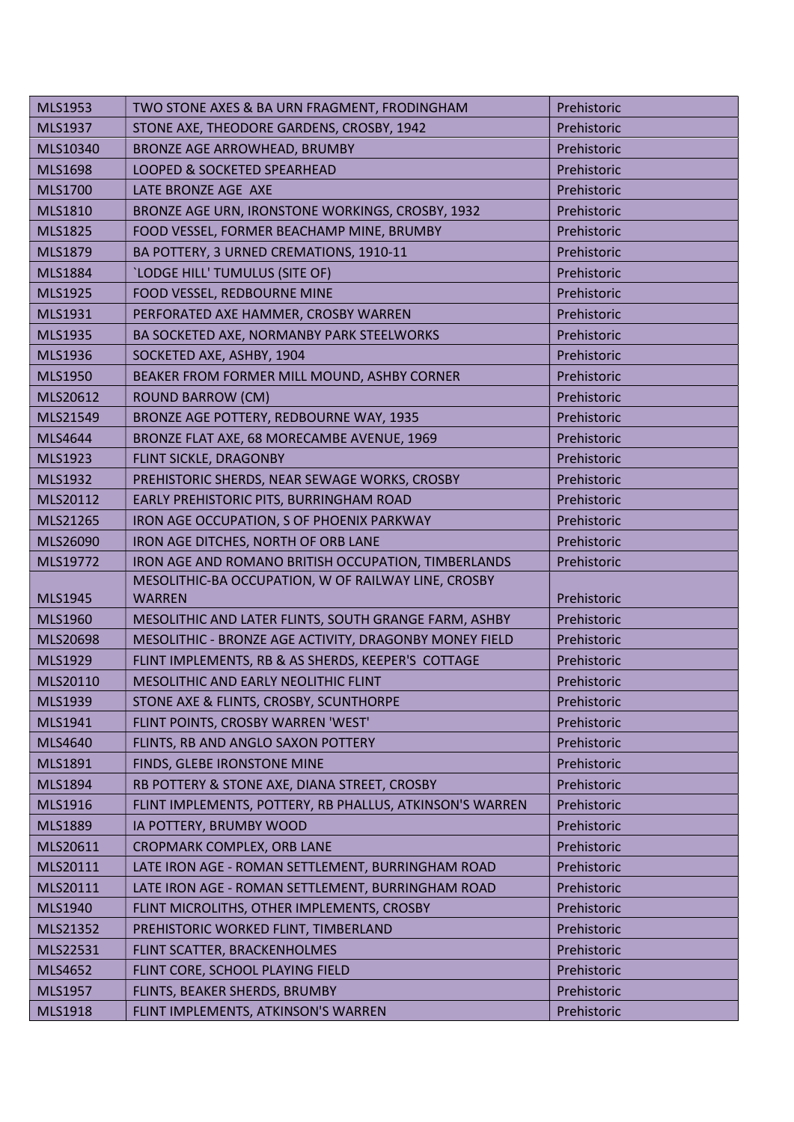| MLS1953        | TWO STONE AXES & BA URN FRAGMENT, FRODINGHAM                         | Prehistoric |
|----------------|----------------------------------------------------------------------|-------------|
| MLS1937        | STONE AXE, THEODORE GARDENS, CROSBY, 1942                            | Prehistoric |
| MLS10340       | BRONZE AGE ARROWHEAD, BRUMBY                                         | Prehistoric |
| <b>MLS1698</b> | LOOPED & SOCKETED SPEARHEAD                                          | Prehistoric |
| <b>MLS1700</b> | LATE BRONZE AGE AXE                                                  | Prehistoric |
| MLS1810        | BRONZE AGE URN, IRONSTONE WORKINGS, CROSBY, 1932                     | Prehistoric |
| <b>MLS1825</b> | FOOD VESSEL, FORMER BEACHAMP MINE, BRUMBY                            | Prehistoric |
| MLS1879        | BA POTTERY, 3 URNED CREMATIONS, 1910-11                              | Prehistoric |
| <b>MLS1884</b> | 'LODGE HILL' TUMULUS (SITE OF)                                       | Prehistoric |
| MLS1925        | FOOD VESSEL, REDBOURNE MINE                                          | Prehistoric |
| MLS1931        | PERFORATED AXE HAMMER, CROSBY WARREN                                 | Prehistoric |
| MLS1935        | BA SOCKETED AXE, NORMANBY PARK STEELWORKS                            | Prehistoric |
| MLS1936        | SOCKETED AXE, ASHBY, 1904                                            | Prehistoric |
| MLS1950        | BEAKER FROM FORMER MILL MOUND, ASHBY CORNER                          | Prehistoric |
| MLS20612       | <b>ROUND BARROW (CM)</b>                                             | Prehistoric |
| MLS21549       | BRONZE AGE POTTERY, REDBOURNE WAY, 1935                              | Prehistoric |
| MLS4644        | BRONZE FLAT AXE, 68 MORECAMBE AVENUE, 1969                           | Prehistoric |
| MLS1923        | FLINT SICKLE, DRAGONBY                                               | Prehistoric |
| MLS1932        | PREHISTORIC SHERDS, NEAR SEWAGE WORKS, CROSBY                        | Prehistoric |
| MLS20112       | EARLY PREHISTORIC PITS, BURRINGHAM ROAD                              | Prehistoric |
| MLS21265       | IRON AGE OCCUPATION, S OF PHOENIX PARKWAY                            | Prehistoric |
| MLS26090       | IRON AGE DITCHES, NORTH OF ORB LANE                                  | Prehistoric |
|                |                                                                      |             |
| MLS19772       | IRON AGE AND ROMANO BRITISH OCCUPATION, TIMBERLANDS                  | Prehistoric |
| MLS1945        | MESOLITHIC-BA OCCUPATION, W OF RAILWAY LINE, CROSBY<br><b>WARREN</b> | Prehistoric |
| <b>MLS1960</b> | MESOLITHIC AND LATER FLINTS, SOUTH GRANGE FARM, ASHBY                | Prehistoric |
| MLS20698       | MESOLITHIC - BRONZE AGE ACTIVITY, DRAGONBY MONEY FIELD               | Prehistoric |
| MLS1929        | FLINT IMPLEMENTS, RB & AS SHERDS, KEEPER'S COTTAGE                   | Prehistoric |
| MLS20110       | MESOLITHIC AND EARLY NEOLITHIC FLINT                                 | Prehistoric |
| MLS1939        | STONE AXE & FLINTS, CROSBY, SCUNTHORPE                               | Prehistoric |
| MLS1941        | FLINT POINTS, CROSBY WARREN 'WEST'                                   | Prehistoric |
| MLS4640        | FLINTS, RB AND ANGLO SAXON POTTERY                                   | Prehistoric |
| MLS1891        | FINDS, GLEBE IRONSTONE MINE                                          | Prehistoric |
| MLS1894        | RB POTTERY & STONE AXE, DIANA STREET, CROSBY                         | Prehistoric |
| MLS1916        | FLINT IMPLEMENTS, POTTERY, RB PHALLUS, ATKINSON'S WARREN             | Prehistoric |
| <b>MLS1889</b> | IA POTTERY, BRUMBY WOOD                                              | Prehistoric |
| MLS20611       | CROPMARK COMPLEX, ORB LANE                                           | Prehistoric |
| MLS20111       | LATE IRON AGE - ROMAN SETTLEMENT, BURRINGHAM ROAD                    | Prehistoric |
| MLS20111       | LATE IRON AGE - ROMAN SETTLEMENT, BURRINGHAM ROAD                    | Prehistoric |
| MLS1940        | FLINT MICROLITHS, OTHER IMPLEMENTS, CROSBY                           | Prehistoric |
| MLS21352       | PREHISTORIC WORKED FLINT, TIMBERLAND                                 | Prehistoric |
| MLS22531       | FLINT SCATTER, BRACKENHOLMES                                         | Prehistoric |
| MLS4652        | FLINT CORE, SCHOOL PLAYING FIELD                                     | Prehistoric |
| MLS1957        | FLINTS, BEAKER SHERDS, BRUMBY                                        | Prehistoric |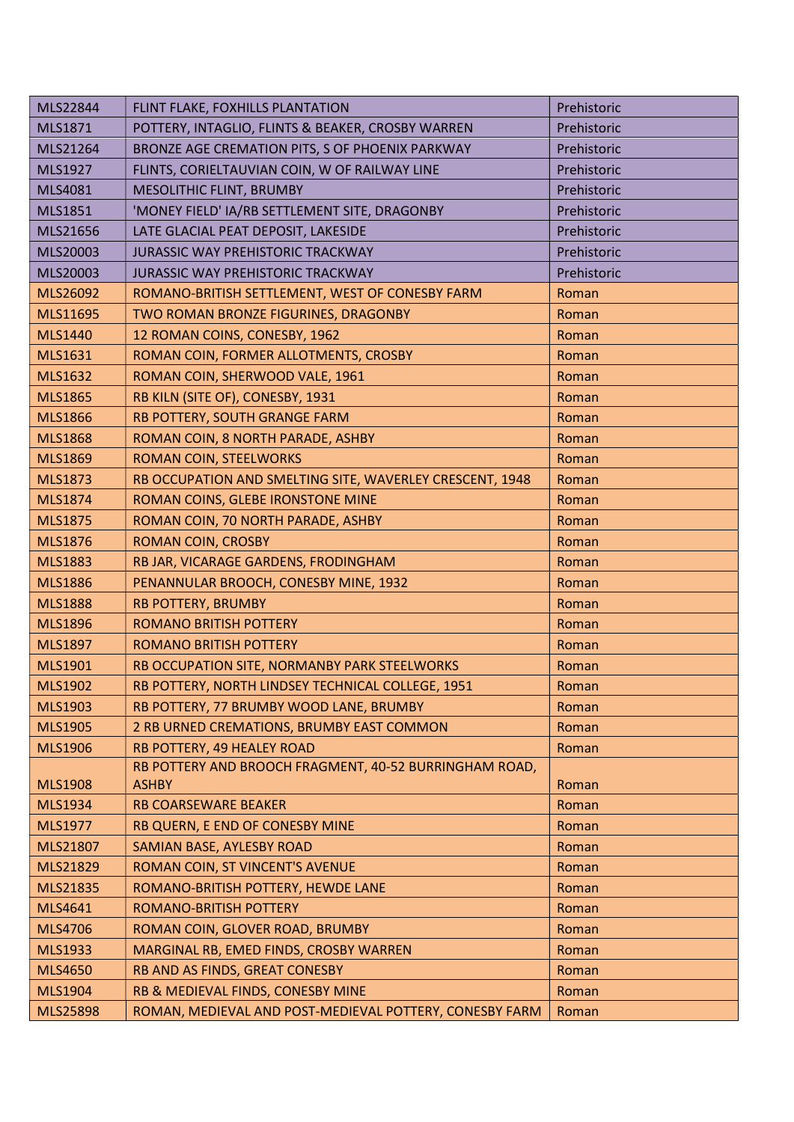| MLS22844       | FLINT FLAKE, FOXHILLS PLANTATION                         | Prehistoric |
|----------------|----------------------------------------------------------|-------------|
| MLS1871        | POTTERY, INTAGLIO, FLINTS & BEAKER, CROSBY WARREN        | Prehistoric |
| MLS21264       | BRONZE AGE CREMATION PITS, S OF PHOENIX PARKWAY          | Prehistoric |
| MLS1927        | FLINTS, CORIELTAUVIAN COIN, W OF RAILWAY LINE            | Prehistoric |
| MLS4081        | MESOLITHIC FLINT, BRUMBY                                 | Prehistoric |
| MLS1851        | 'MONEY FIELD' IA/RB SETTLEMENT SITE, DRAGONBY            | Prehistoric |
| MLS21656       | LATE GLACIAL PEAT DEPOSIT, LAKESIDE                      | Prehistoric |
| MLS20003       | <b>JURASSIC WAY PREHISTORIC TRACKWAY</b>                 | Prehistoric |
| MLS20003       | JURASSIC WAY PREHISTORIC TRACKWAY                        | Prehistoric |
| MLS26092       | ROMANO-BRITISH SETTLEMENT, WEST OF CONESBY FARM          | Roman       |
| MLS11695       | TWO ROMAN BRONZE FIGURINES, DRAGONBY                     | Roman       |
| <b>MLS1440</b> | 12 ROMAN COINS, CONESBY, 1962                            | Roman       |
| <b>MLS1631</b> | ROMAN COIN, FORMER ALLOTMENTS, CROSBY                    | Roman       |
| MLS1632        | ROMAN COIN, SHERWOOD VALE, 1961                          | Roman       |
| <b>MLS1865</b> | RB KILN (SITE OF), CONESBY, 1931                         | Roman       |
| <b>MLS1866</b> | RB POTTERY, SOUTH GRANGE FARM                            | Roman       |
| <b>MLS1868</b> | ROMAN COIN, 8 NORTH PARADE, ASHBY                        | Roman       |
| <b>MLS1869</b> | ROMAN COIN, STEELWORKS                                   | Roman       |
| <b>MLS1873</b> | RB OCCUPATION AND SMELTING SITE, WAVERLEY CRESCENT, 1948 | Roman       |
| <b>MLS1874</b> | ROMAN COINS, GLEBE IRONSTONE MINE                        | Roman       |
| <b>MLS1875</b> | ROMAN COIN, 70 NORTH PARADE, ASHBY                       | Roman       |
| <b>MLS1876</b> | <b>ROMAN COIN, CROSBY</b>                                | Roman       |
| <b>MLS1883</b> | RB JAR, VICARAGE GARDENS, FRODINGHAM                     | Roman       |
| <b>MLS1886</b> | PENANNULAR BROOCH, CONESBY MINE, 1932                    | Roman       |
| <b>MLS1888</b> | <b>RB POTTERY, BRUMBY</b>                                | Roman       |
| <b>MLS1896</b> | <b>ROMANO BRITISH POTTERY</b>                            | Roman       |
| <b>MLS1897</b> | <b>ROMANO BRITISH POTTERY</b>                            | Roman       |
| <b>MLS1901</b> | RB OCCUPATION SITE, NORMANBY PARK STEELWORKS             | Roman       |
| <b>MLS1902</b> | RB POTTERY, NORTH LINDSEY TECHNICAL COLLEGE, 1951        | Roman       |
| MLS1903        | RB POTTERY, 77 BRUMBY WOOD LANE, BRUMBY                  | Roman       |
| <b>MLS1905</b> | 2 RB URNED CREMATIONS, BRUMBY EAST COMMON                | Roman       |
| <b>MLS1906</b> | RB POTTERY, 49 HEALEY ROAD                               | Roman       |
|                | RB POTTERY AND BROOCH FRAGMENT, 40-52 BURRINGHAM ROAD,   |             |
| <b>MLS1908</b> | <b>ASHBY</b>                                             | Roman       |
| MLS1934        | <b>RB COARSEWARE BEAKER</b>                              | Roman       |
| <b>MLS1977</b> | RB QUERN, E END OF CONESBY MINE                          | Roman       |
| MLS21807       | SAMIAN BASE, AYLESBY ROAD                                | Roman       |
| MLS21829       | ROMAN COIN, ST VINCENT'S AVENUE                          | Roman       |
| MLS21835       | ROMANO-BRITISH POTTERY, HEWDE LANE                       | Roman       |
| MLS4641        | ROMANO-BRITISH POTTERY                                   | Roman       |
| <b>MLS4706</b> | ROMAN COIN, GLOVER ROAD, BRUMBY                          | Roman       |
| MLS1933        | MARGINAL RB, EMED FINDS, CROSBY WARREN                   | Roman       |
| <b>MLS4650</b> | RB AND AS FINDS, GREAT CONESBY                           | Roman       |
| <b>MLS1904</b> | RB & MEDIEVAL FINDS, CONESBY MINE                        | Roman       |
| MLS25898       | ROMAN, MEDIEVAL AND POST-MEDIEVAL POTTERY, CONESBY FARM  | Roman       |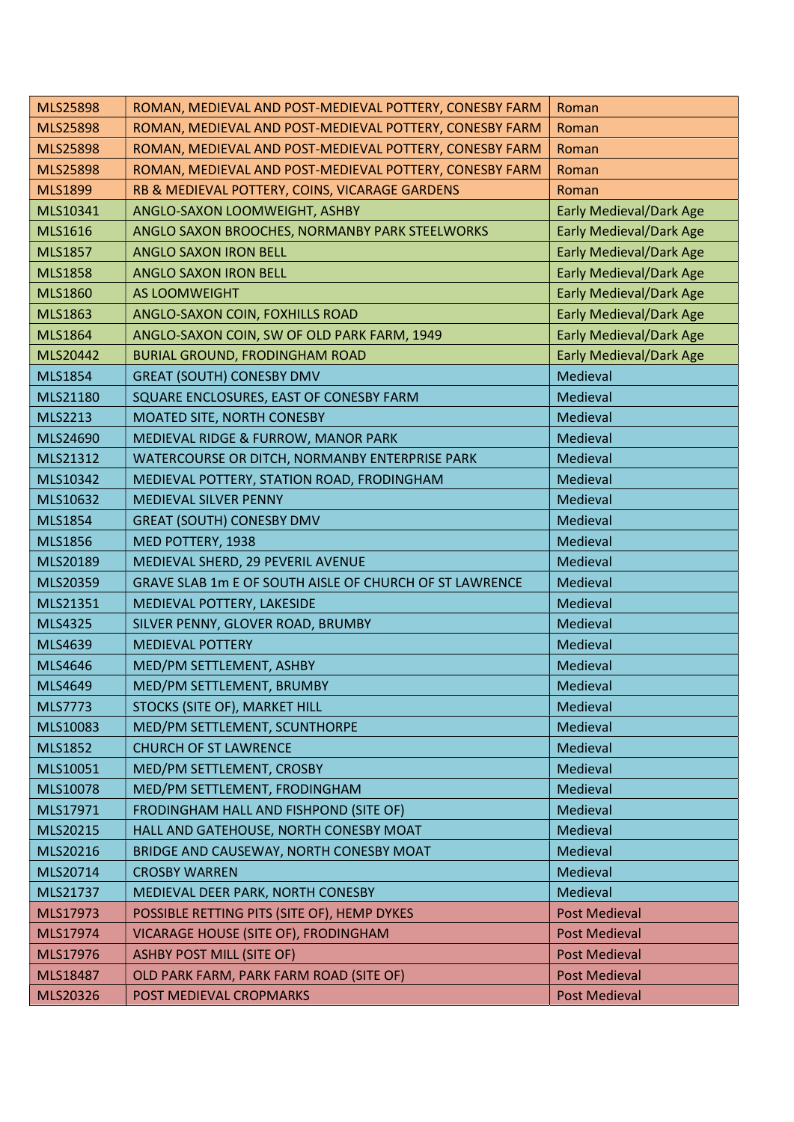| <b>MLS25898</b> | ROMAN, MEDIEVAL AND POST-MEDIEVAL POTTERY, CONESBY FARM | Roman                          |
|-----------------|---------------------------------------------------------|--------------------------------|
| <b>MLS25898</b> | ROMAN, MEDIEVAL AND POST-MEDIEVAL POTTERY, CONESBY FARM | Roman                          |
| <b>MLS25898</b> | ROMAN, MEDIEVAL AND POST-MEDIEVAL POTTERY, CONESBY FARM | Roman                          |
| <b>MLS25898</b> | ROMAN, MEDIEVAL AND POST-MEDIEVAL POTTERY, CONESBY FARM | Roman                          |
| <b>MLS1899</b>  | RB & MEDIEVAL POTTERY, COINS, VICARAGE GARDENS          | Roman                          |
| MLS10341        | ANGLO-SAXON LOOMWEIGHT, ASHBY                           | <b>Early Medieval/Dark Age</b> |
| MLS1616         | ANGLO SAXON BROOCHES, NORMANBY PARK STEELWORKS          | <b>Early Medieval/Dark Age</b> |
| <b>MLS1857</b>  | ANGLO SAXON IRON BELL                                   | <b>Early Medieval/Dark Age</b> |
| <b>MLS1858</b>  | ANGLO SAXON IRON BELL                                   | <b>Early Medieval/Dark Age</b> |
| <b>MLS1860</b>  | AS LOOMWEIGHT                                           | <b>Early Medieval/Dark Age</b> |
| MLS1863         | ANGLO-SAXON COIN, FOXHILLS ROAD                         | <b>Early Medieval/Dark Age</b> |
| <b>MLS1864</b>  | ANGLO-SAXON COIN, SW OF OLD PARK FARM, 1949             | <b>Early Medieval/Dark Age</b> |
| MLS20442        | <b>BURIAL GROUND, FRODINGHAM ROAD</b>                   | <b>Early Medieval/Dark Age</b> |
| <b>MLS1854</b>  | <b>GREAT (SOUTH) CONESBY DMV</b>                        | Medieval                       |
| MLS21180        | SQUARE ENCLOSURES, EAST OF CONESBY FARM                 | Medieval                       |
| <b>MLS2213</b>  | MOATED SITE, NORTH CONESBY                              | Medieval                       |
| MLS24690        | MEDIEVAL RIDGE & FURROW, MANOR PARK                     | Medieval                       |
| MLS21312        | WATERCOURSE OR DITCH, NORMANBY ENTERPRISE PARK          | Medieval                       |
| MLS10342        | MEDIEVAL POTTERY, STATION ROAD, FRODINGHAM              | Medieval                       |
| MLS10632        | MEDIEVAL SILVER PENNY                                   | Medieval                       |
| <b>MLS1854</b>  | <b>GREAT (SOUTH) CONESBY DMV</b>                        | Medieval                       |
| <b>MLS1856</b>  | MED POTTERY, 1938                                       | Medieval                       |
| MLS20189        | MEDIEVAL SHERD, 29 PEVERIL AVENUE                       | Medieval                       |
| MLS20359        | GRAVE SLAB 1m E OF SOUTH AISLE OF CHURCH OF ST LAWRENCE | Medieval                       |
| MLS21351        | MEDIEVAL POTTERY, LAKESIDE                              | Medieval                       |
| MLS4325         | SILVER PENNY, GLOVER ROAD, BRUMBY                       | Medieval                       |
| MLS4639         | <b>MEDIEVAL POTTERY</b>                                 | Medieval                       |
| MLS4646         | MED/PM SETTLEMENT, ASHBY                                | Medieval                       |
| MLS4649         | MED/PM SETTLEMENT, BRUMBY                               | Medieval                       |
| MLS7773         | STOCKS (SITE OF), MARKET HILL                           | Medieval                       |
| MLS10083        | MED/PM SETTLEMENT, SCUNTHORPE                           | Medieval                       |
| <b>MLS1852</b>  | <b>CHURCH OF ST LAWRENCE</b>                            | Medieval                       |
| MLS10051        | MED/PM SETTLEMENT, CROSBY                               | Medieval                       |
| MLS10078        | MED/PM SETTLEMENT, FRODINGHAM                           | Medieval                       |
| MLS17971        | FRODINGHAM HALL AND FISHPOND (SITE OF)                  | Medieval                       |
| MLS20215        | HALL AND GATEHOUSE, NORTH CONESBY MOAT                  | Medieval                       |
| MLS20216        | BRIDGE AND CAUSEWAY, NORTH CONESBY MOAT                 | Medieval                       |
| MLS20714        | <b>CROSBY WARREN</b>                                    | Medieval                       |
| MLS21737        | MEDIEVAL DEER PARK, NORTH CONESBY                       | Medieval                       |
| MLS17973        | POSSIBLE RETTING PITS (SITE OF), HEMP DYKES             | <b>Post Medieval</b>           |
| MLS17974        | VICARAGE HOUSE (SITE OF), FRODINGHAM                    | <b>Post Medieval</b>           |
| MLS17976        | <b>ASHBY POST MILL (SITE OF)</b>                        | <b>Post Medieval</b>           |
| MLS18487        | OLD PARK FARM, PARK FARM ROAD (SITE OF)                 | <b>Post Medieval</b>           |
| MLS20326        | POST MEDIEVAL CROPMARKS                                 | <b>Post Medieval</b>           |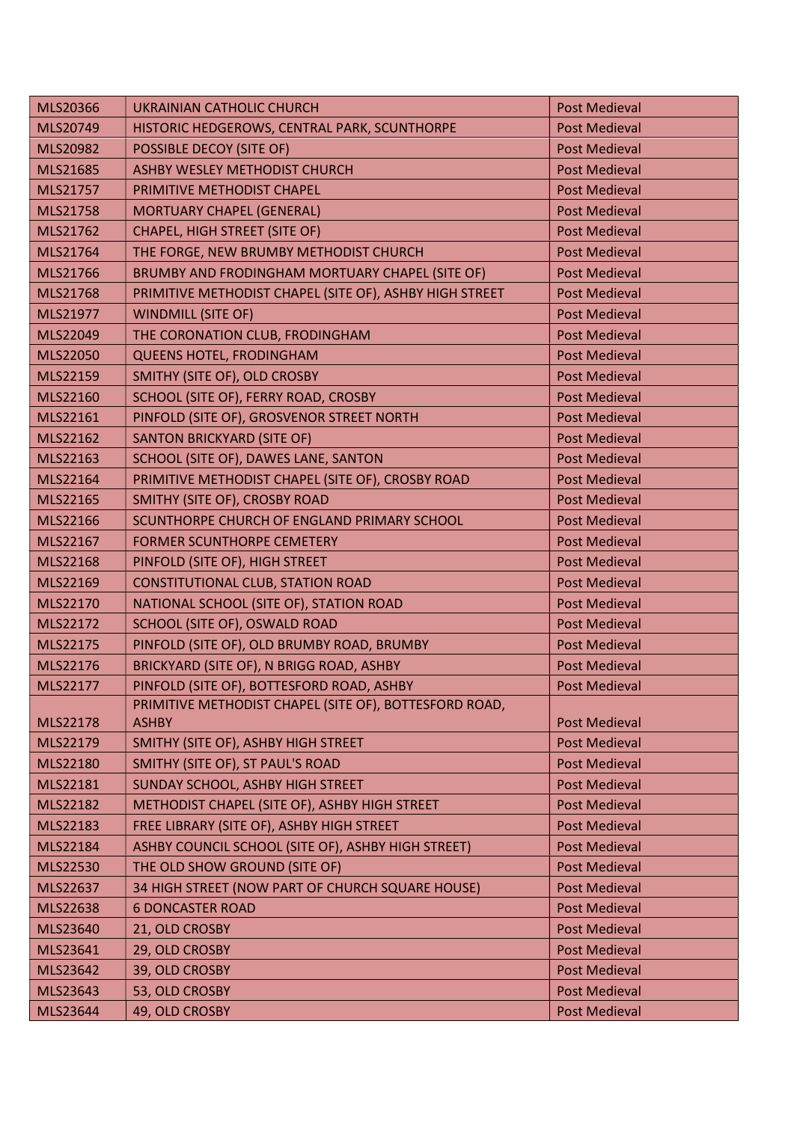| MLS20366        | <b>UKRAINIAN CATHOLIC CHURCH</b>                        | <b>Post Medieval</b> |
|-----------------|---------------------------------------------------------|----------------------|
| MLS20749        | HISTORIC HEDGEROWS, CENTRAL PARK, SCUNTHORPE            | <b>Post Medieval</b> |
| <b>MLS20982</b> | POSSIBLE DECOY (SITE OF)                                | <b>Post Medieval</b> |
| MLS21685        | ASHBY WESLEY METHODIST CHURCH                           | <b>Post Medieval</b> |
| MLS21757        | PRIMITIVE METHODIST CHAPEL                              | <b>Post Medieval</b> |
| MLS21758        | MORTUARY CHAPEL (GENERAL)                               | <b>Post Medieval</b> |
| MLS21762        | <b>CHAPEL, HIGH STREET (SITE OF)</b>                    | <b>Post Medieval</b> |
| MLS21764        | THE FORGE, NEW BRUMBY METHODIST CHURCH                  | <b>Post Medieval</b> |
| MLS21766        | BRUMBY AND FRODINGHAM MORTUARY CHAPEL (SITE OF)         | <b>Post Medieval</b> |
| MLS21768        | PRIMITIVE METHODIST CHAPEL (SITE OF), ASHBY HIGH STREET | <b>Post Medieval</b> |
| MLS21977        | <b>WINDMILL (SITE OF)</b>                               | <b>Post Medieval</b> |
| MLS22049        | THE CORONATION CLUB, FRODINGHAM                         | <b>Post Medieval</b> |
| <b>MLS22050</b> | QUEENS HOTEL, FRODINGHAM                                | <b>Post Medieval</b> |
| MLS22159        | SMITHY (SITE OF), OLD CROSBY                            | <b>Post Medieval</b> |
| MLS22160        | SCHOOL (SITE OF), FERRY ROAD, CROSBY                    | <b>Post Medieval</b> |
| MLS22161        | PINFOLD (SITE OF), GROSVENOR STREET NORTH               | <b>Post Medieval</b> |
| MLS22162        | <b>SANTON BRICKYARD (SITE OF)</b>                       | <b>Post Medieval</b> |
| MLS22163        | SCHOOL (SITE OF), DAWES LANE, SANTON                    | <b>Post Medieval</b> |
| MLS22164        | PRIMITIVE METHODIST CHAPEL (SITE OF), CROSBY ROAD       | <b>Post Medieval</b> |
| MLS22165        | SMITHY (SITE OF), CROSBY ROAD                           | <b>Post Medieval</b> |
| MLS22166        | SCUNTHORPE CHURCH OF ENGLAND PRIMARY SCHOOL             | <b>Post Medieval</b> |
| MLS22167        | <b>FORMER SCUNTHORPE CEMETERY</b>                       | <b>Post Medieval</b> |
| MLS22168        | PINFOLD (SITE OF), HIGH STREET                          | <b>Post Medieval</b> |
| MLS22169        | CONSTITUTIONAL CLUB, STATION ROAD                       | <b>Post Medieval</b> |
| MLS22170        | NATIONAL SCHOOL (SITE OF), STATION ROAD                 | <b>Post Medieval</b> |
| MLS22172        | SCHOOL (SITE OF), OSWALD ROAD                           | <b>Post Medieval</b> |
| MLS22175        | PINFOLD (SITE OF), OLD BRUMBY ROAD, BRUMBY              | <b>Post Medieval</b> |
| MLS22176        | BRICKYARD (SITE OF), N BRIGG ROAD, ASHBY                | <b>Post Medieval</b> |
| MLS22177        | PINFOLD (SITE OF), BOTTESFORD ROAD, ASHBY               | <b>Post Medieval</b> |
|                 | PRIMITIVE METHODIST CHAPEL (SITE OF), BOTTESFORD ROAD,  |                      |
| MLS22178        | <b>ASHBY</b>                                            | <b>Post Medieval</b> |
| MLS22179        | SMITHY (SITE OF), ASHBY HIGH STREET                     | <b>Post Medieval</b> |
| MLS22180        | SMITHY (SITE OF), ST PAUL'S ROAD                        | <b>Post Medieval</b> |
| MLS22181        | SUNDAY SCHOOL, ASHBY HIGH STREET                        | <b>Post Medieval</b> |
| MLS22182        | METHODIST CHAPEL (SITE OF), ASHBY HIGH STREET           | <b>Post Medieval</b> |
| MLS22183        | FREE LIBRARY (SITE OF), ASHBY HIGH STREET               | <b>Post Medieval</b> |
| MLS22184        | ASHBY COUNCIL SCHOOL (SITE OF), ASHBY HIGH STREET)      | <b>Post Medieval</b> |
| MLS22530        | THE OLD SHOW GROUND (SITE OF)                           | <b>Post Medieval</b> |
| MLS22637        | 34 HIGH STREET (NOW PART OF CHURCH SQUARE HOUSE)        | <b>Post Medieval</b> |
| MLS22638        | <b>6 DONCASTER ROAD</b>                                 | <b>Post Medieval</b> |
| MLS23640        | 21, OLD CROSBY                                          | <b>Post Medieval</b> |
| MLS23641        | 29, OLD CROSBY                                          | <b>Post Medieval</b> |
| MLS23642        | 39, OLD CROSBY                                          | <b>Post Medieval</b> |
| MLS23643        | 53, OLD CROSBY                                          | <b>Post Medieval</b> |
| MLS23644        | 49, OLD CROSBY                                          | <b>Post Medieval</b> |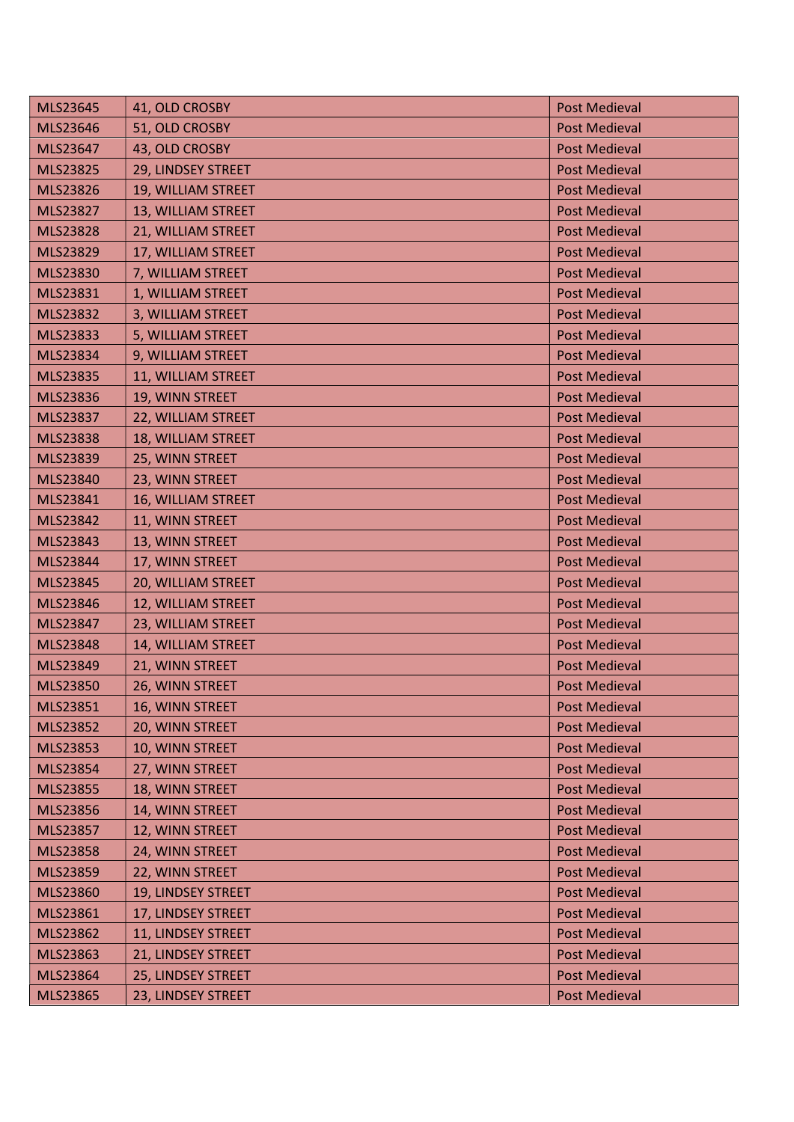| MLS23645 | 41, OLD CROSBY     | <b>Post Medieval</b> |
|----------|--------------------|----------------------|
| MLS23646 | 51, OLD CROSBY     | <b>Post Medieval</b> |
| MLS23647 | 43, OLD CROSBY     | <b>Post Medieval</b> |
| MLS23825 | 29, LINDSEY STREET | <b>Post Medieval</b> |
| MLS23826 | 19, WILLIAM STREET | <b>Post Medieval</b> |
| MLS23827 | 13, WILLIAM STREET | <b>Post Medieval</b> |
| MLS23828 | 21, WILLIAM STREET | <b>Post Medieval</b> |
| MLS23829 | 17, WILLIAM STREET | <b>Post Medieval</b> |
| MLS23830 | 7, WILLIAM STREET  | <b>Post Medieval</b> |
| MLS23831 | 1, WILLIAM STREET  | <b>Post Medieval</b> |
| MLS23832 | 3, WILLIAM STREET  | <b>Post Medieval</b> |
| MLS23833 | 5, WILLIAM STREET  | <b>Post Medieval</b> |
| MLS23834 | 9, WILLIAM STREET  | <b>Post Medieval</b> |
| MLS23835 | 11, WILLIAM STREET | <b>Post Medieval</b> |
| MLS23836 | 19, WINN STREET    | <b>Post Medieval</b> |
| MLS23837 | 22, WILLIAM STREET | <b>Post Medieval</b> |
| MLS23838 | 18, WILLIAM STREET | <b>Post Medieval</b> |
| MLS23839 | 25, WINN STREET    | <b>Post Medieval</b> |
| MLS23840 | 23, WINN STREET    | <b>Post Medieval</b> |
| MLS23841 | 16, WILLIAM STREET | <b>Post Medieval</b> |
| MLS23842 | 11, WINN STREET    | <b>Post Medieval</b> |
| MLS23843 | 13, WINN STREET    | <b>Post Medieval</b> |
| MLS23844 | 17, WINN STREET    | <b>Post Medieval</b> |
| MLS23845 | 20, WILLIAM STREET | <b>Post Medieval</b> |
| MLS23846 | 12, WILLIAM STREET | <b>Post Medieval</b> |
| MLS23847 | 23, WILLIAM STREET | <b>Post Medieval</b> |
| MLS23848 | 14, WILLIAM STREET | <b>Post Medieval</b> |
| MLS23849 | 21, WINN STREET    | <b>Post Medieval</b> |
| MLS23850 | 26, WINN STREET    | <b>Post Medieval</b> |
| MLS23851 | 16, WINN STREET    | <b>Post Medieval</b> |
| MLS23852 | 20, WINN STREET    | <b>Post Medieval</b> |
| MLS23853 | 10, WINN STREET    | <b>Post Medieval</b> |
| MLS23854 | 27, WINN STREET    | <b>Post Medieval</b> |
| MLS23855 | 18, WINN STREET    | <b>Post Medieval</b> |
| MLS23856 | 14, WINN STREET    | <b>Post Medieval</b> |
| MLS23857 | 12, WINN STREET    | <b>Post Medieval</b> |
| MLS23858 | 24, WINN STREET    | <b>Post Medieval</b> |
| MLS23859 | 22, WINN STREET    | <b>Post Medieval</b> |
| MLS23860 | 19, LINDSEY STREET | <b>Post Medieval</b> |
| MLS23861 | 17, LINDSEY STREET | <b>Post Medieval</b> |
| MLS23862 | 11, LINDSEY STREET | <b>Post Medieval</b> |
| MLS23863 | 21, LINDSEY STREET | <b>Post Medieval</b> |
| MLS23864 | 25, LINDSEY STREET | <b>Post Medieval</b> |
| MLS23865 | 23, LINDSEY STREET | <b>Post Medieval</b> |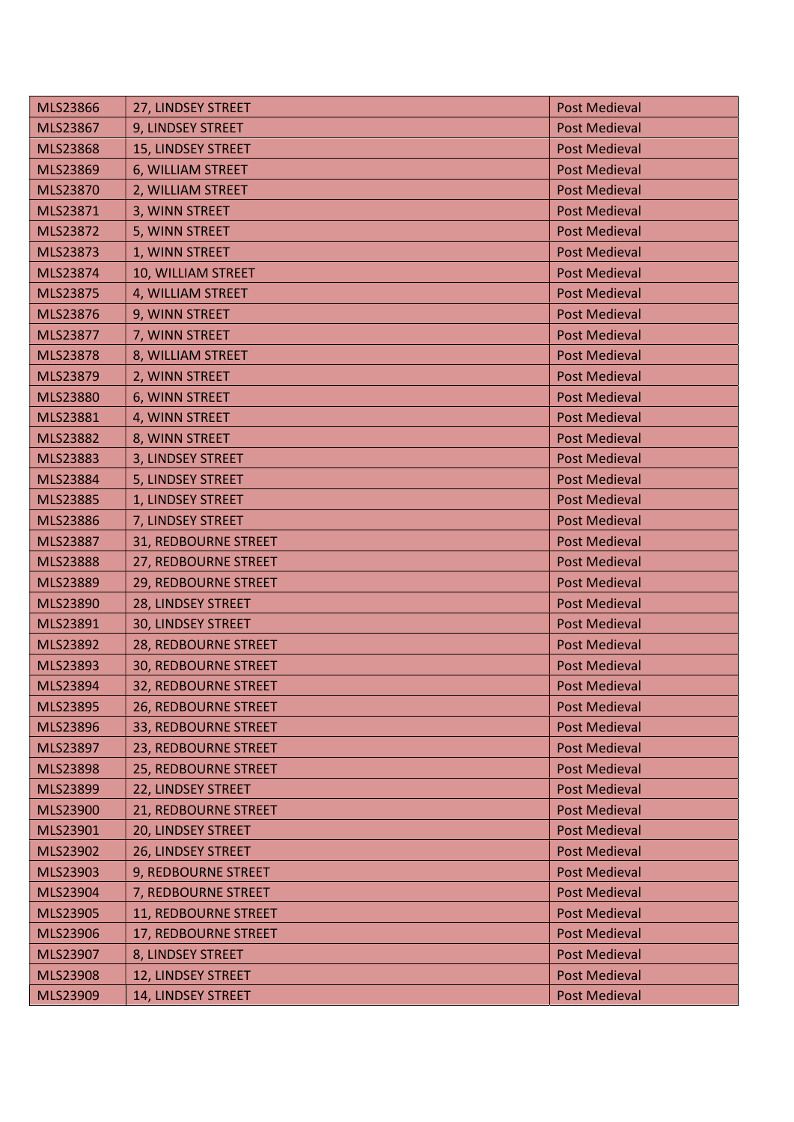| MLS23866        | 27, LINDSEY STREET          | <b>Post Medieval</b> |
|-----------------|-----------------------------|----------------------|
| MLS23867        | 9, LINDSEY STREET           | <b>Post Medieval</b> |
| <b>MLS23868</b> | 15, LINDSEY STREET          | <b>Post Medieval</b> |
| MLS23869        | 6, WILLIAM STREET           | <b>Post Medieval</b> |
| MLS23870        | 2, WILLIAM STREET           | <b>Post Medieval</b> |
| MLS23871        | 3, WINN STREET              | <b>Post Medieval</b> |
| MLS23872        | 5, WINN STREET              | <b>Post Medieval</b> |
| MLS23873        | 1, WINN STREET              | <b>Post Medieval</b> |
| MLS23874        | 10, WILLIAM STREET          | <b>Post Medieval</b> |
| MLS23875        | 4, WILLIAM STREET           | <b>Post Medieval</b> |
| MLS23876        | 9, WINN STREET              | <b>Post Medieval</b> |
| MLS23877        | 7, WINN STREET              | <b>Post Medieval</b> |
| MLS23878        | 8, WILLIAM STREET           | <b>Post Medieval</b> |
| MLS23879        | 2, WINN STREET              | <b>Post Medieval</b> |
| MLS23880        | 6, WINN STREET              | <b>Post Medieval</b> |
| MLS23881        | 4, WINN STREET              | <b>Post Medieval</b> |
| MLS23882        | 8, WINN STREET              | <b>Post Medieval</b> |
| MLS23883        | 3, LINDSEY STREET           | <b>Post Medieval</b> |
| MLS23884        | 5, LINDSEY STREET           | <b>Post Medieval</b> |
| MLS23885        | 1, LINDSEY STREET           | <b>Post Medieval</b> |
| MLS23886        | 7, LINDSEY STREET           | <b>Post Medieval</b> |
| <b>MLS23887</b> | 31, REDBOURNE STREET        | <b>Post Medieval</b> |
| MLS23888        | 27, REDBOURNE STREET        | <b>Post Medieval</b> |
| MLS23889        | 29, REDBOURNE STREET        | <b>Post Medieval</b> |
| MLS23890        | 28, LINDSEY STREET          | <b>Post Medieval</b> |
| MLS23891        | 30, LINDSEY STREET          | <b>Post Medieval</b> |
| MLS23892        | 28, REDBOURNE STREET        | <b>Post Medieval</b> |
| MLS23893        | <b>30, REDBOURNE STREET</b> | <b>Post Medieval</b> |
| <b>MLS23894</b> | 32, REDBOURNE STREET        | <b>Post Medieval</b> |
| MLS23895        | 26, REDBOURNE STREET        | <b>Post Medieval</b> |
| MLS23896        | 33, REDBOURNE STREET        | <b>Post Medieval</b> |
| MLS23897        | 23, REDBOURNE STREET        | <b>Post Medieval</b> |
| MLS23898        | 25, REDBOURNE STREET        | <b>Post Medieval</b> |
| MLS23899        | 22, LINDSEY STREET          | <b>Post Medieval</b> |
| MLS23900        | 21, REDBOURNE STREET        | <b>Post Medieval</b> |
| MLS23901        | 20, LINDSEY STREET          | <b>Post Medieval</b> |
| MLS23902        | 26, LINDSEY STREET          | <b>Post Medieval</b> |
| MLS23903        | 9, REDBOURNE STREET         | <b>Post Medieval</b> |
| MLS23904        | 7, REDBOURNE STREET         | <b>Post Medieval</b> |
| MLS23905        | 11, REDBOURNE STREET        | <b>Post Medieval</b> |
| MLS23906        | 17, REDBOURNE STREET        | <b>Post Medieval</b> |
| MLS23907        | 8, LINDSEY STREET           | <b>Post Medieval</b> |
| MLS23908        | 12, LINDSEY STREET          | <b>Post Medieval</b> |
| MLS23909        | 14, LINDSEY STREET          | <b>Post Medieval</b> |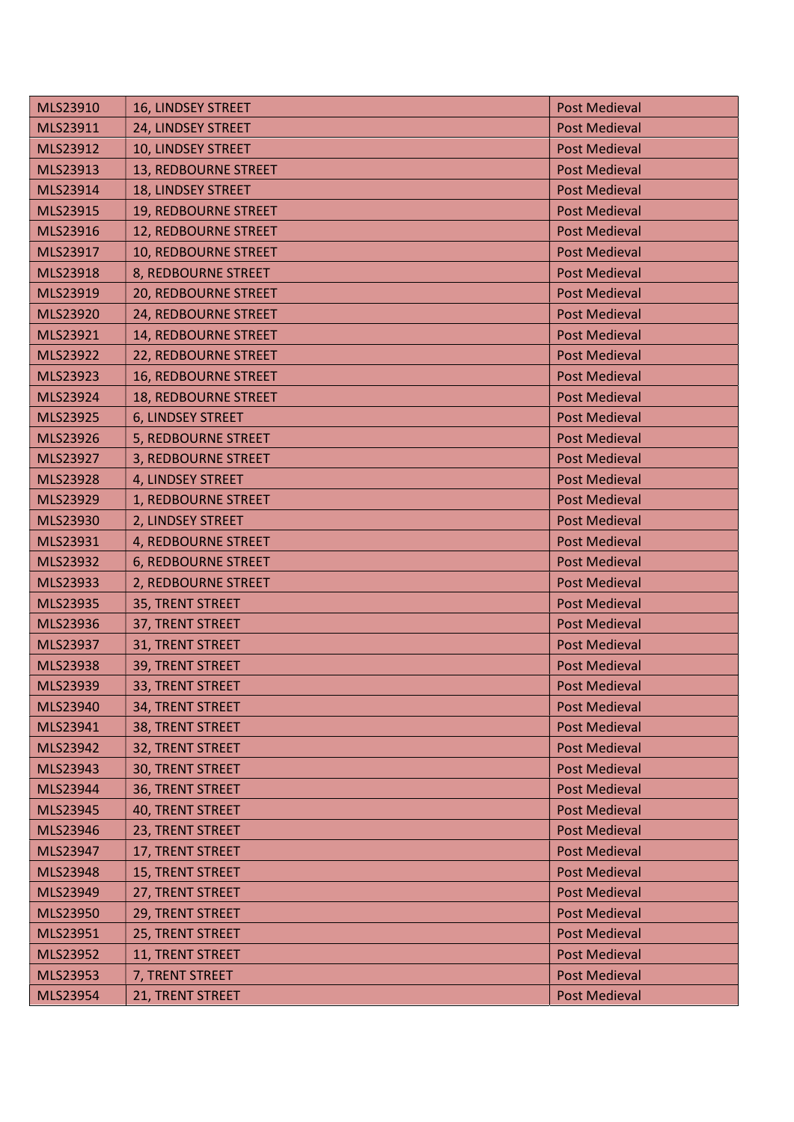| MLS23910 | 16, LINDSEY STREET          | <b>Post Medieval</b> |
|----------|-----------------------------|----------------------|
| MLS23911 | 24, LINDSEY STREET          | <b>Post Medieval</b> |
| MLS23912 | 10, LINDSEY STREET          | <b>Post Medieval</b> |
| MLS23913 | 13, REDBOURNE STREET        | <b>Post Medieval</b> |
| MLS23914 | 18, LINDSEY STREET          | <b>Post Medieval</b> |
| MLS23915 | 19, REDBOURNE STREET        | <b>Post Medieval</b> |
| MLS23916 | 12, REDBOURNE STREET        | <b>Post Medieval</b> |
| MLS23917 | 10, REDBOURNE STREET        | <b>Post Medieval</b> |
| MLS23918 | 8, REDBOURNE STREET         | <b>Post Medieval</b> |
| MLS23919 | 20, REDBOURNE STREET        | <b>Post Medieval</b> |
| MLS23920 | 24, REDBOURNE STREET        | <b>Post Medieval</b> |
| MLS23921 | 14, REDBOURNE STREET        | <b>Post Medieval</b> |
| MLS23922 | 22, REDBOURNE STREET        | <b>Post Medieval</b> |
| MLS23923 | <b>16, REDBOURNE STREET</b> | <b>Post Medieval</b> |
| MLS23924 | 18, REDBOURNE STREET        | <b>Post Medieval</b> |
| MLS23925 | 6, LINDSEY STREET           | <b>Post Medieval</b> |
| MLS23926 | 5, REDBOURNE STREET         | <b>Post Medieval</b> |
| MLS23927 | 3, REDBOURNE STREET         | <b>Post Medieval</b> |
| MLS23928 | 4, LINDSEY STREET           | <b>Post Medieval</b> |
| MLS23929 | 1, REDBOURNE STREET         | <b>Post Medieval</b> |
| MLS23930 | 2, LINDSEY STREET           | <b>Post Medieval</b> |
| MLS23931 | 4, REDBOURNE STREET         | <b>Post Medieval</b> |
| MLS23932 | 6, REDBOURNE STREET         | <b>Post Medieval</b> |
| MLS23933 | 2, REDBOURNE STREET         | <b>Post Medieval</b> |
| MLS23935 | 35, TRENT STREET            | <b>Post Medieval</b> |
| MLS23936 | 37, TRENT STREET            | <b>Post Medieval</b> |
| MLS23937 | 31, TRENT STREET            | <b>Post Medieval</b> |
| MLS23938 | 39, TRENT STREET            | <b>Post Medieval</b> |
| MLS23939 | 33, TRENT STREET            | <b>Post Medieval</b> |
| MLS23940 | 34, TRENT STREET            | <b>Post Medieval</b> |
| MLS23941 | 38, TRENT STREET            | <b>Post Medieval</b> |
| MLS23942 | 32, TRENT STREET            | <b>Post Medieval</b> |
| MLS23943 | 30, TRENT STREET            | <b>Post Medieval</b> |
| MLS23944 | 36, TRENT STREET            | <b>Post Medieval</b> |
| MLS23945 | <b>40, TRENT STREET</b>     | <b>Post Medieval</b> |
| MLS23946 | 23, TRENT STREET            | <b>Post Medieval</b> |
| MLS23947 | 17, TRENT STREET            | <b>Post Medieval</b> |
| MLS23948 | 15, TRENT STREET            | <b>Post Medieval</b> |
| MLS23949 | 27, TRENT STREET            | <b>Post Medieval</b> |
| MLS23950 | 29, TRENT STREET            | <b>Post Medieval</b> |
| MLS23951 | 25, TRENT STREET            | <b>Post Medieval</b> |
| MLS23952 | 11, TRENT STREET            | <b>Post Medieval</b> |
| MLS23953 | 7, TRENT STREET             | <b>Post Medieval</b> |
| MLS23954 | 21, TRENT STREET            | <b>Post Medieval</b> |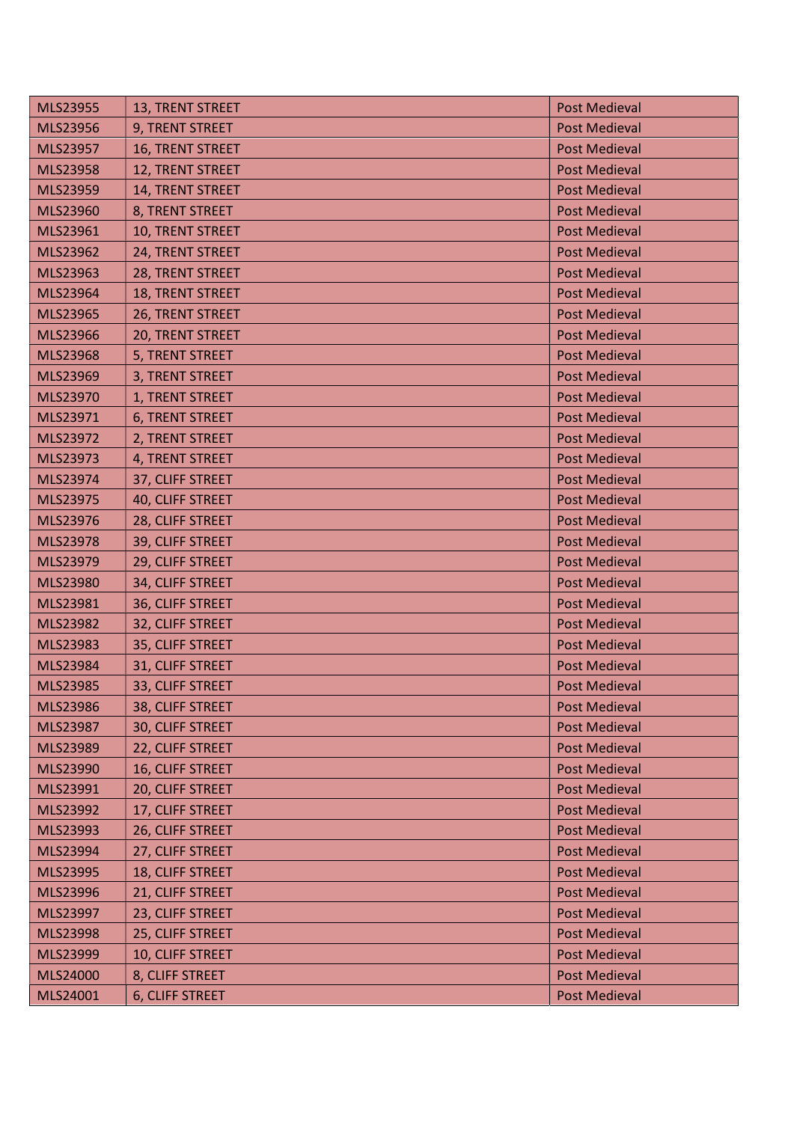| MLS23955        | 13, TRENT STREET       | <b>Post Medieval</b> |
|-----------------|------------------------|----------------------|
| MLS23956        | 9, TRENT STREET        | <b>Post Medieval</b> |
| <b>MLS23957</b> | 16, TRENT STREET       | <b>Post Medieval</b> |
| MLS23958        | 12, TRENT STREET       | <b>Post Medieval</b> |
| MLS23959        | 14, TRENT STREET       | <b>Post Medieval</b> |
| MLS23960        | 8, TRENT STREET        | <b>Post Medieval</b> |
| MLS23961        | 10, TRENT STREET       | <b>Post Medieval</b> |
| MLS23962        | 24, TRENT STREET       | <b>Post Medieval</b> |
| MLS23963        | 28, TRENT STREET       | <b>Post Medieval</b> |
| MLS23964        | 18, TRENT STREET       | <b>Post Medieval</b> |
| MLS23965        | 26, TRENT STREET       | <b>Post Medieval</b> |
| MLS23966        | 20, TRENT STREET       | <b>Post Medieval</b> |
| MLS23968        | 5, TRENT STREET        | <b>Post Medieval</b> |
| MLS23969        | 3, TRENT STREET        | <b>Post Medieval</b> |
| MLS23970        | 1, TRENT STREET        | <b>Post Medieval</b> |
| MLS23971        | <b>6, TRENT STREET</b> | <b>Post Medieval</b> |
| MLS23972        | 2, TRENT STREET        | <b>Post Medieval</b> |
| MLS23973        | 4, TRENT STREET        | <b>Post Medieval</b> |
| MLS23974        | 37, CLIFF STREET       | <b>Post Medieval</b> |
| <b>MLS23975</b> | 40, CLIFF STREET       | <b>Post Medieval</b> |
| MLS23976        | 28, CLIFF STREET       | <b>Post Medieval</b> |
| MLS23978        | 39, CLIFF STREET       | <b>Post Medieval</b> |
| MLS23979        | 29, CLIFF STREET       | <b>Post Medieval</b> |
| MLS23980        | 34, CLIFF STREET       | <b>Post Medieval</b> |
| MLS23981        | 36, CLIFF STREET       | <b>Post Medieval</b> |
| MLS23982        | 32, CLIFF STREET       | <b>Post Medieval</b> |
| MLS23983        | 35, CLIFF STREET       | <b>Post Medieval</b> |
| MLS23984        | 31, CLIFF STREET       | <b>Post Medieval</b> |
| MLS23985        | 33, CLIFF STREET       | <b>Post Medieval</b> |
| MLS23986        | 38, CLIFF STREET       | <b>Post Medieval</b> |
| MLS23987        | 30, CLIFF STREET       | <b>Post Medieval</b> |
| MLS23989        | 22, CLIFF STREET       | <b>Post Medieval</b> |
| MLS23990        | 16, CLIFF STREET       | <b>Post Medieval</b> |
| MLS23991        | 20, CLIFF STREET       | <b>Post Medieval</b> |
| MLS23992        | 17, CLIFF STREET       | <b>Post Medieval</b> |
| MLS23993        | 26, CLIFF STREET       | <b>Post Medieval</b> |
| MLS23994        | 27, CLIFF STREET       | <b>Post Medieval</b> |
| MLS23995        | 18, CLIFF STREET       | <b>Post Medieval</b> |
| MLS23996        | 21, CLIFF STREET       | <b>Post Medieval</b> |
| MLS23997        | 23, CLIFF STREET       | <b>Post Medieval</b> |
| MLS23998        | 25, CLIFF STREET       | <b>Post Medieval</b> |
| MLS23999        | 10, CLIFF STREET       | <b>Post Medieval</b> |
| MLS24000        | 8, CLIFF STREET        | <b>Post Medieval</b> |
| MLS24001        | 6, CLIFF STREET        | <b>Post Medieval</b> |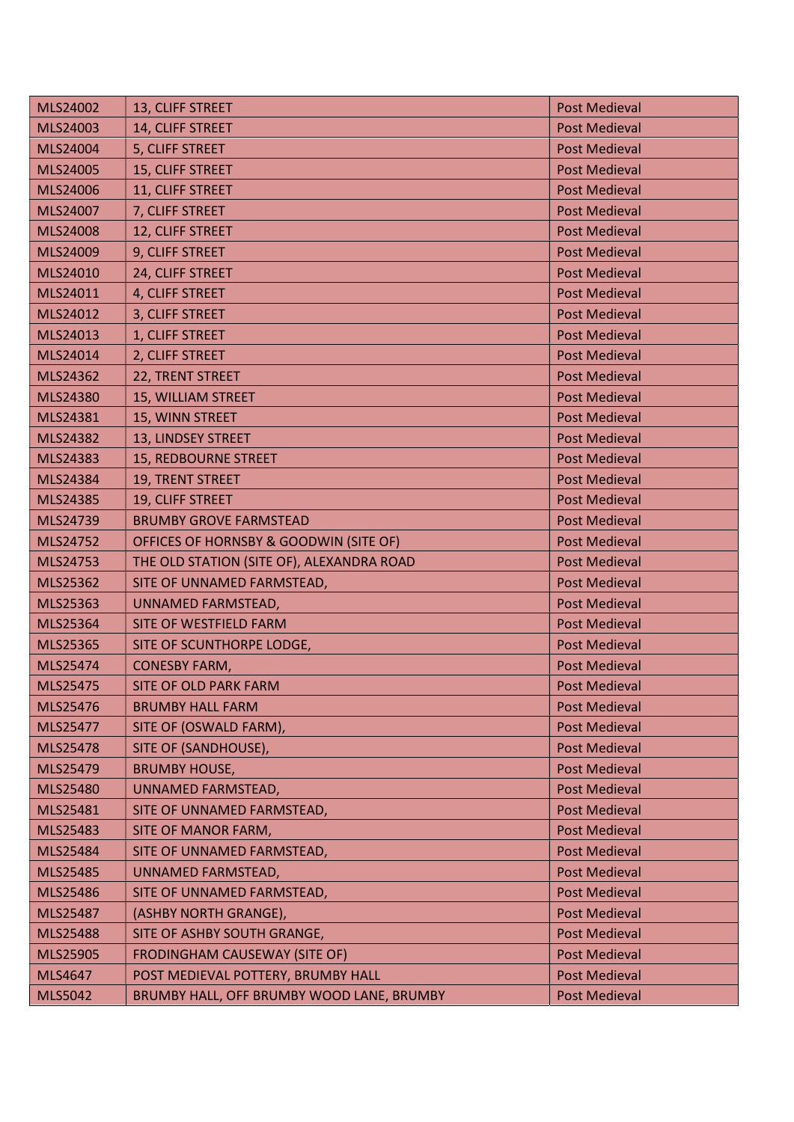| MLS24002        | 13, CLIFF STREET                          | <b>Post Medieval</b> |
|-----------------|-------------------------------------------|----------------------|
| MLS24003        | 14, CLIFF STREET                          | <b>Post Medieval</b> |
| MLS24004        | 5, CLIFF STREET                           | <b>Post Medieval</b> |
| MLS24005        | 15, CLIFF STREET                          | <b>Post Medieval</b> |
| MLS24006        | 11, CLIFF STREET                          | <b>Post Medieval</b> |
| MLS24007        | 7, CLIFF STREET                           | <b>Post Medieval</b> |
| MLS24008        | 12, CLIFF STREET                          | <b>Post Medieval</b> |
| MLS24009        | 9, CLIFF STREET                           | <b>Post Medieval</b> |
| MLS24010        | 24, CLIFF STREET                          | <b>Post Medieval</b> |
| MLS24011        | 4, CLIFF STREET                           | <b>Post Medieval</b> |
| MLS24012        | 3, CLIFF STREET                           | <b>Post Medieval</b> |
| MLS24013        | 1, CLIFF STREET                           | <b>Post Medieval</b> |
| MLS24014        | 2, CLIFF STREET                           | <b>Post Medieval</b> |
| MLS24362        | 22, TRENT STREET                          | <b>Post Medieval</b> |
| MLS24380        | 15, WILLIAM STREET                        | <b>Post Medieval</b> |
| MLS24381        | 15, WINN STREET                           | <b>Post Medieval</b> |
| MLS24382        | 13, LINDSEY STREET                        | <b>Post Medieval</b> |
| MLS24383        | 15, REDBOURNE STREET                      | <b>Post Medieval</b> |
| MLS24384        | 19, TRENT STREET                          | <b>Post Medieval</b> |
| MLS24385        | 19, CLIFF STREET                          | <b>Post Medieval</b> |
| MLS24739        | <b>BRUMBY GROVE FARMSTEAD</b>             | <b>Post Medieval</b> |
| MLS24752        | OFFICES OF HORNSBY & GOODWIN (SITE OF)    | <b>Post Medieval</b> |
| MLS24753        | THE OLD STATION (SITE OF), ALEXANDRA ROAD | <b>Post Medieval</b> |
| MLS25362        | SITE OF UNNAMED FARMSTEAD,                | <b>Post Medieval</b> |
| MLS25363        | UNNAMED FARMSTEAD,                        | <b>Post Medieval</b> |
| MLS25364        | SITE OF WESTFIELD FARM                    | <b>Post Medieval</b> |
| <b>MLS25365</b> | SITE OF SCUNTHORPE LODGE,                 | <b>Post Medieval</b> |
| MLS25474        | <b>CONESBY FARM,</b>                      | <b>Post Medieval</b> |
| MLS25475        | <b>SITE OF OLD PARK FARM</b>              | <b>Post Medieval</b> |
| MLS25476        | <b>BRUMBY HALL FARM</b>                   | <b>Post Medieval</b> |
| MLS25477        | SITE OF (OSWALD FARM),                    | <b>Post Medieval</b> |
| MLS25478        | SITE OF (SANDHOUSE),                      | <b>Post Medieval</b> |
| MLS25479        | <b>BRUMBY HOUSE,</b>                      | <b>Post Medieval</b> |
| MLS25480        | UNNAMED FARMSTEAD,                        | <b>Post Medieval</b> |
| MLS25481        | SITE OF UNNAMED FARMSTEAD,                | <b>Post Medieval</b> |
| MLS25483        | SITE OF MANOR FARM,                       | <b>Post Medieval</b> |
| MLS25484        | SITE OF UNNAMED FARMSTEAD,                | <b>Post Medieval</b> |
| MLS25485        | UNNAMED FARMSTEAD,                        | <b>Post Medieval</b> |
| MLS25486        | SITE OF UNNAMED FARMSTEAD,                | <b>Post Medieval</b> |
| MLS25487        | (ASHBY NORTH GRANGE),                     | <b>Post Medieval</b> |
| MLS25488        | SITE OF ASHBY SOUTH GRANGE,               | <b>Post Medieval</b> |
| MLS25905        | FRODINGHAM CAUSEWAY (SITE OF)             | <b>Post Medieval</b> |
| MLS4647         | POST MEDIEVAL POTTERY, BRUMBY HALL        | <b>Post Medieval</b> |
| <b>MLS5042</b>  | BRUMBY HALL, OFF BRUMBY WOOD LANE, BRUMBY | <b>Post Medieval</b> |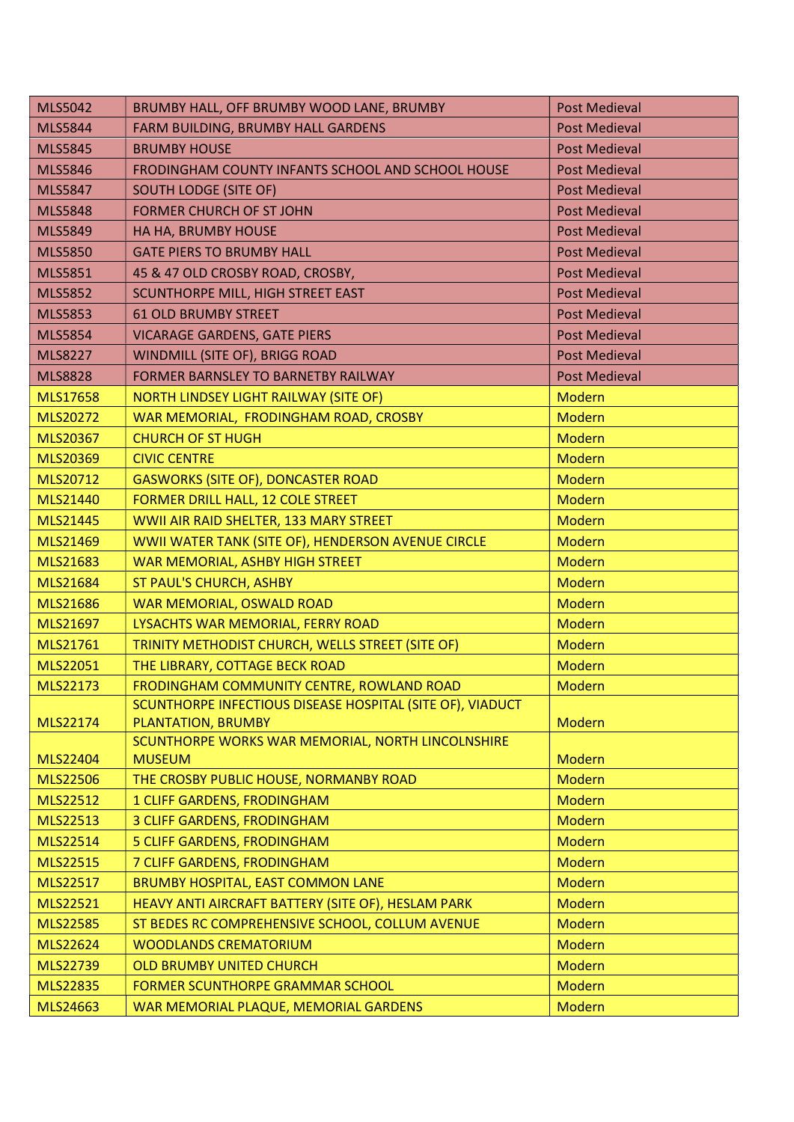| <b>MLS5042</b>       | BRUMBY HALL, OFF BRUMBY WOOD LANE, BRUMBY                                                      | <b>Post Medieval</b>           |
|----------------------|------------------------------------------------------------------------------------------------|--------------------------------|
| <b>MLS5844</b>       | FARM BUILDING, BRUMBY HALL GARDENS                                                             | <b>Post Medieval</b>           |
| <b>MLS5845</b>       | <b>BRUMBY HOUSE</b>                                                                            | <b>Post Medieval</b>           |
| <b>MLS5846</b>       | FRODINGHAM COUNTY INFANTS SCHOOL AND SCHOOL HOUSE                                              | <b>Post Medieval</b>           |
| <b>MLS5847</b>       | <b>SOUTH LODGE (SITE OF)</b>                                                                   | <b>Post Medieval</b>           |
| <b>MLS5848</b>       | <b>FORMER CHURCH OF ST JOHN</b>                                                                | <b>Post Medieval</b>           |
| <b>MLS5849</b>       | HA HA, BRUMBY HOUSE                                                                            | <b>Post Medieval</b>           |
| <b>MLS5850</b>       | <b>GATE PIERS TO BRUMBY HALL</b>                                                               | <b>Post Medieval</b>           |
| <b>MLS5851</b>       | 45 & 47 OLD CROSBY ROAD, CROSBY,                                                               | <b>Post Medieval</b>           |
| <b>MLS5852</b>       | SCUNTHORPE MILL, HIGH STREET EAST                                                              | <b>Post Medieval</b>           |
| <b>MLS5853</b>       | <b>61 OLD BRUMBY STREET</b>                                                                    | <b>Post Medieval</b>           |
| <b>MLS5854</b>       | <b>VICARAGE GARDENS, GATE PIERS</b>                                                            | <b>Post Medieval</b>           |
| <b>MLS8227</b>       | <b>WINDMILL (SITE OF), BRIGG ROAD</b>                                                          | <b>Post Medieval</b>           |
| <b>MLS8828</b>       | FORMER BARNSLEY TO BARNETBY RAILWAY                                                            | <b>Post Medieval</b>           |
| MLS17658             | <b>NORTH LINDSEY LIGHT RAILWAY (SITE OF)</b>                                                   | <b>Modern</b>                  |
| MLS20272             | WAR MEMORIAL, FRODINGHAM ROAD, CROSBY                                                          | <b>Modern</b>                  |
| MLS20367             | <b>CHURCH OF ST HUGH</b>                                                                       | <b>Modern</b>                  |
| MLS20369             | <b>CIVIC CENTRE</b>                                                                            | <b>Modern</b>                  |
| MLS20712             | <b>GASWORKS (SITE OF), DONCASTER ROAD</b>                                                      | Modern                         |
| MLS21440             | FORMER DRILL HALL, 12 COLE STREET                                                              | <b>Modern</b>                  |
| MLS21445             | WWII AIR RAID SHELTER, 133 MARY STREET                                                         | Modern                         |
| MLS21469             | WWII WATER TANK (SITE OF), HENDERSON AVENUE CIRCLE                                             | <b>Modern</b>                  |
| MLS21683             | WAR MEMORIAL, ASHBY HIGH STREET                                                                | <b>Modern</b>                  |
| MLS21684             | ST PAUL'S CHURCH, ASHBY                                                                        | <b>Modern</b>                  |
| MLS21686             | WAR MEMORIAL, OSWALD ROAD                                                                      | <b>Modern</b>                  |
| MLS21697             | LYSACHTS WAR MEMORIAL, FERRY ROAD                                                              | <b>Modern</b>                  |
| MLS21761             | TRINITY METHODIST CHURCH, WELLS STREET (SITE OF)                                               | Modern                         |
| MLS22051             | THE LIBRARY, COTTAGE BECK ROAD                                                                 | Modern                         |
| MLS22173             | FRODINGHAM COMMUNITY CENTRE, ROWLAND ROAD                                                      | <b>Modern</b>                  |
|                      | SCUNTHORPE INFECTIOUS DISEASE HOSPITAL (SITE OF), VIADUCT                                      |                                |
| MLS22174             | PLANTATION, BRUMBY                                                                             | <b>Modern</b>                  |
|                      | SCUNTHORPE WORKS WAR MEMORIAL, NORTH LINCOLNSHIRE                                              | <b>Modern</b>                  |
| MLS22404<br>MLS22506 | <b>MUSEUM</b>                                                                                  | <b>Modern</b>                  |
| MLS22512             | THE CROSBY PUBLIC HOUSE, NORMANBY ROAD                                                         | <b>Modern</b>                  |
| MLS22513             | 1 CLIFF GARDENS, FRODINGHAM<br><b>3 CLIFF GARDENS, FRODINGHAM</b>                              | <b>Modern</b>                  |
|                      |                                                                                                |                                |
| MLS22514             | 5 CLIFF GARDENS, FRODINGHAM                                                                    | <b>Modern</b><br><b>Modern</b> |
| MLS22515             | 7 CLIFF GARDENS, FRODINGHAM                                                                    |                                |
| MLS22517<br>MLS22521 | <b>BRUMBY HOSPITAL, EAST COMMON LANE</b><br>HEAVY ANTI AIRCRAFT BATTERY (SITE OF), HESLAM PARK | <b>Modern</b><br><b>Modern</b> |
|                      |                                                                                                |                                |
| <b>MLS22585</b>      | ST BEDES RC COMPREHENSIVE SCHOOL, COLLUM AVENUE                                                | <b>Modern</b>                  |
| MLS22624             | <b>WOODLANDS CREMATORIUM</b>                                                                   | <b>Modern</b>                  |
| MLS22739             | <b>OLD BRUMBY UNITED CHURCH</b>                                                                | <b>Modern</b>                  |
| <b>MLS22835</b>      | <b>FORMER SCUNTHORPE GRAMMAR SCHOOL</b>                                                        | <b>Modern</b>                  |
| MLS24663             | WAR MEMORIAL PLAQUE, MEMORIAL GARDENS                                                          | <b>Modern</b>                  |